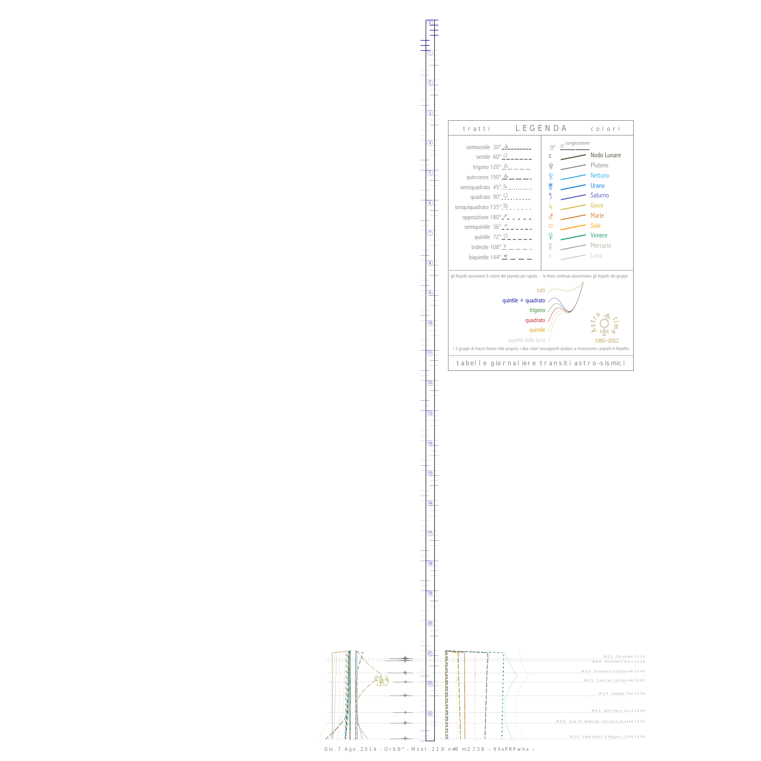0

1



13



Gio. 7 Ago. 2014 - Orb:9° - M.tot: 21.9 n#8 m:2.738 -: 9XxPRPwhx :-